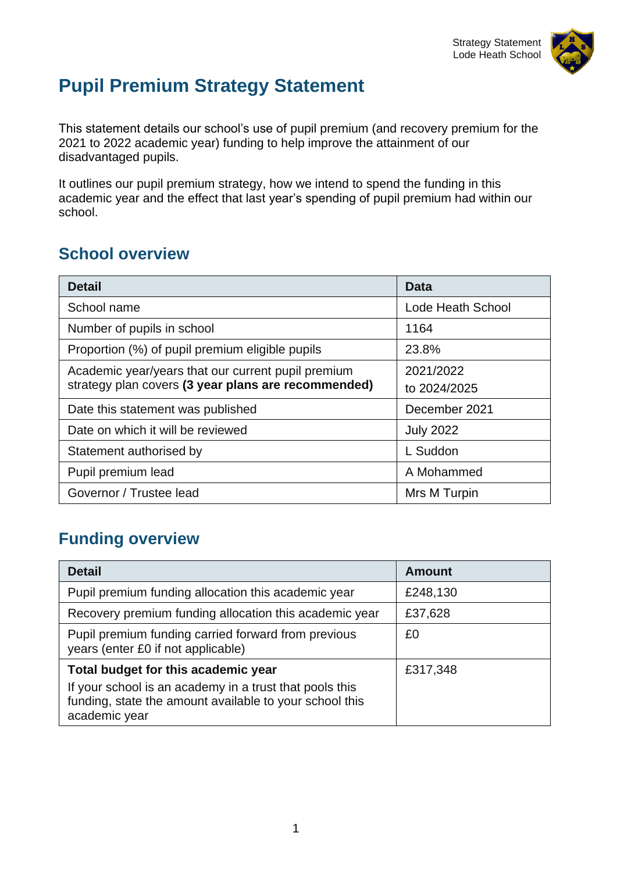

# **Pupil Premium Strategy Statement**

This statement details our school's use of pupil premium (and recovery premium for the 2021 to 2022 academic year) funding to help improve the attainment of our disadvantaged pupils.

It outlines our pupil premium strategy, how we intend to spend the funding in this academic year and the effect that last year's spending of pupil premium had within our school.

# **School overview**

| <b>Detail</b>                                       | <b>Data</b>              |  |
|-----------------------------------------------------|--------------------------|--|
| School name                                         | <b>Lode Heath School</b> |  |
| Number of pupils in school                          | 1164                     |  |
| Proportion (%) of pupil premium eligible pupils     | 23.8%                    |  |
| Academic year/years that our current pupil premium  | 2021/2022                |  |
| strategy plan covers (3 year plans are recommended) | to 2024/2025             |  |
| Date this statement was published                   | December 2021            |  |
| Date on which it will be reviewed                   | <b>July 2022</b>         |  |
| Statement authorised by                             | L Suddon                 |  |
| Pupil premium lead                                  | A Mohammed               |  |
| Governor / Trustee lead                             | Mrs M Turpin             |  |

### **Funding overview**

| <b>Detail</b>                                                                                                                       | <b>Amount</b> |
|-------------------------------------------------------------------------------------------------------------------------------------|---------------|
| Pupil premium funding allocation this academic year                                                                                 | £248,130      |
| Recovery premium funding allocation this academic year                                                                              | £37,628       |
| Pupil premium funding carried forward from previous<br>years (enter £0 if not applicable)                                           | £0            |
| Total budget for this academic year                                                                                                 | £317,348      |
| If your school is an academy in a trust that pools this<br>funding, state the amount available to your school this<br>academic year |               |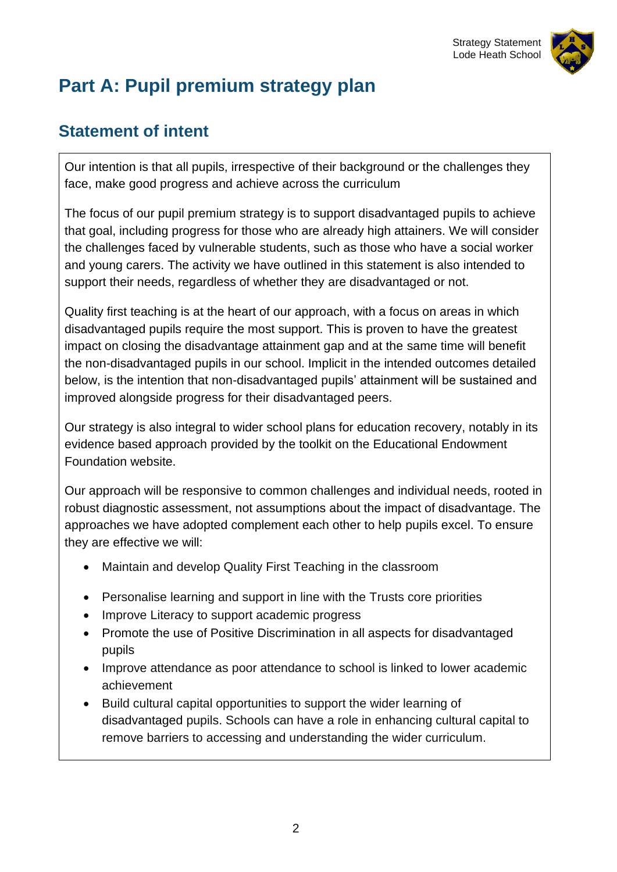

# **Part A: Pupil premium strategy plan**

# **Statement of intent**

Our intention is that all pupils, irrespective of their background or the challenges they face, make good progress and achieve across the curriculum

The focus of our pupil premium strategy is to support disadvantaged pupils to achieve that goal, including progress for those who are already high attainers. We will consider the challenges faced by vulnerable students, such as those who have a social worker and young carers. The activity we have outlined in this statement is also intended to support their needs, regardless of whether they are disadvantaged or not.

Quality first teaching is at the heart of our approach, with a focus on areas in which disadvantaged pupils require the most support. This is proven to have the greatest impact on closing the disadvantage attainment gap and at the same time will benefit the non-disadvantaged pupils in our school. Implicit in the intended outcomes detailed below, is the intention that non-disadvantaged pupils' attainment will be sustained and improved alongside progress for their disadvantaged peers.

Our strategy is also integral to wider school plans for education recovery, notably in its evidence based approach provided by the toolkit on the Educational Endowment Foundation website.

Our approach will be responsive to common challenges and individual needs, rooted in robust diagnostic assessment, not assumptions about the impact of disadvantage. The approaches we have adopted complement each other to help pupils excel. To ensure they are effective we will:

- Maintain and develop Quality First Teaching in the classroom
- Personalise learning and support in line with the Trusts core priorities
- Improve Literacy to support academic progress
- Promote the use of Positive Discrimination in all aspects for disadvantaged pupils
- Improve attendance as poor attendance to school is linked to lower academic achievement
- Build cultural capital opportunities to support the wider learning of disadvantaged pupils. Schools can have a role in enhancing cultural capital to remove barriers to accessing and understanding the wider curriculum.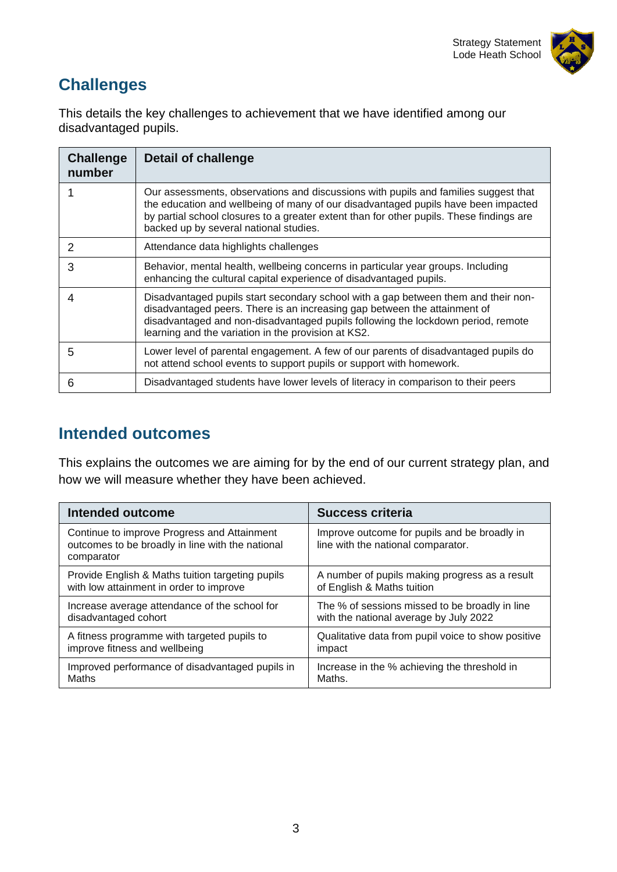

# **Challenges**

This details the key challenges to achievement that we have identified among our disadvantaged pupils.

| <b>Challenge</b><br>number | <b>Detail of challenge</b>                                                                                                                                                                                                                                                                                      |
|----------------------------|-----------------------------------------------------------------------------------------------------------------------------------------------------------------------------------------------------------------------------------------------------------------------------------------------------------------|
|                            | Our assessments, observations and discussions with pupils and families suggest that<br>the education and wellbeing of many of our disadvantaged pupils have been impacted<br>by partial school closures to a greater extent than for other pupils. These findings are<br>backed up by several national studies. |
| 2                          | Attendance data highlights challenges                                                                                                                                                                                                                                                                           |
| 3                          | Behavior, mental health, wellbeing concerns in particular year groups. Including<br>enhancing the cultural capital experience of disadvantaged pupils.                                                                                                                                                          |
| 4                          | Disadvantaged pupils start secondary school with a gap between them and their non-<br>disadvantaged peers. There is an increasing gap between the attainment of<br>disadvantaged and non-disadvantaged pupils following the lockdown period, remote<br>learning and the variation in the provision at KS2.      |
| 5                          | Lower level of parental engagement. A few of our parents of disadvantaged pupils do<br>not attend school events to support pupils or support with homework.                                                                                                                                                     |
| 6                          | Disadvantaged students have lower levels of literacy in comparison to their peers                                                                                                                                                                                                                               |

### **Intended outcomes**

This explains the outcomes we are aiming for by the end of our current strategy plan, and how we will measure whether they have been achieved.

| Intended outcome                                                                                              | <b>Success criteria</b>                                                            |
|---------------------------------------------------------------------------------------------------------------|------------------------------------------------------------------------------------|
| Continue to improve Progress and Attainment<br>outcomes to be broadly in line with the national<br>comparator | Improve outcome for pupils and be broadly in<br>line with the national comparator. |
| Provide English & Maths tuition targeting pupils                                                              | A number of pupils making progress as a result                                     |
| with low attainment in order to improve                                                                       | of English & Maths tuition                                                         |
| Increase average attendance of the school for                                                                 | The % of sessions missed to be broadly in line                                     |
| disadvantaged cohort                                                                                          | with the national average by July 2022                                             |
| A fitness programme with targeted pupils to                                                                   | Qualitative data from pupil voice to show positive                                 |
| improve fitness and wellbeing                                                                                 | impact                                                                             |
| Improved performance of disadvantaged pupils in                                                               | Increase in the % achieving the threshold in                                       |
| Maths                                                                                                         | Maths.                                                                             |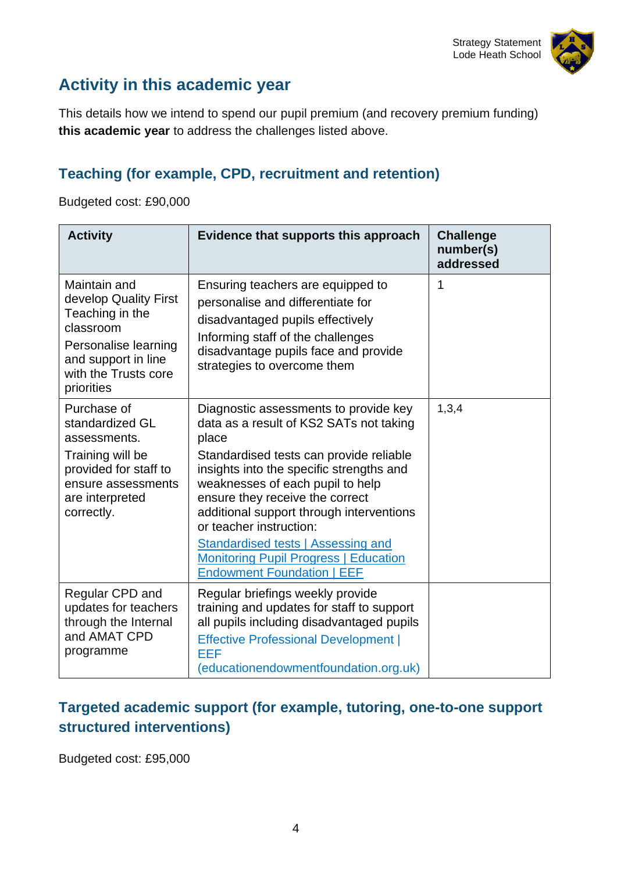

# **Activity in this academic year**

This details how we intend to spend our pupil premium (and recovery premium funding) **this academic year** to address the challenges listed above.

#### **Teaching (for example, CPD, recruitment and retention)**

Budgeted cost: £90,000

| <b>Activity</b>                                                                                                                                            | Evidence that supports this approach                                                                                                                                                                                                                                                                                                                                                                                                                             | <b>Challenge</b><br>number(s)<br>addressed |
|------------------------------------------------------------------------------------------------------------------------------------------------------------|------------------------------------------------------------------------------------------------------------------------------------------------------------------------------------------------------------------------------------------------------------------------------------------------------------------------------------------------------------------------------------------------------------------------------------------------------------------|--------------------------------------------|
| Maintain and<br>develop Quality First<br>Teaching in the<br>classroom<br>Personalise learning<br>and support in line<br>with the Trusts core<br>priorities | Ensuring teachers are equipped to<br>personalise and differentiate for<br>disadvantaged pupils effectively<br>Informing staff of the challenges<br>disadvantage pupils face and provide<br>strategies to overcome them                                                                                                                                                                                                                                           | 1                                          |
| Purchase of<br>standardized GL<br>assessments.<br>Training will be<br>provided for staff to<br>ensure assessments<br>are interpreted<br>correctly.         | Diagnostic assessments to provide key<br>data as a result of KS2 SATs not taking<br>place<br>Standardised tests can provide reliable<br>insights into the specific strengths and<br>weaknesses of each pupil to help<br>ensure they receive the correct<br>additional support through interventions<br>or teacher instruction:<br><b>Standardised tests   Assessing and</b><br><b>Monitoring Pupil Progress   Education</b><br><b>Endowment Foundation   EEF</b> | 1,3,4                                      |
| Regular CPD and<br>updates for teachers<br>through the Internal<br>and AMAT CPD<br>programme                                                               | Regular briefings weekly provide<br>training and updates for staff to support<br>all pupils including disadvantaged pupils<br><b>Effective Professional Development  </b><br>EEF<br>(educationendowmentfoundation.org.uk)                                                                                                                                                                                                                                        |                                            |

#### **Targeted academic support (for example, tutoring, one-to-one support structured interventions)**

Budgeted cost: £95,000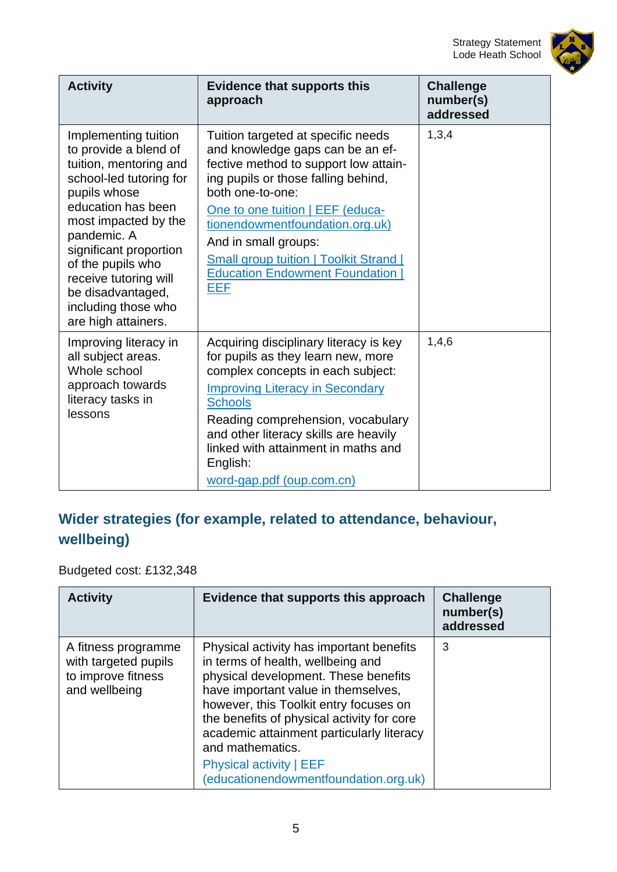

| <b>Activity</b>                                                                                                                                                                                                                                                                                                            | <b>Evidence that supports this</b><br>approach                                                                                                                                                                                                                                                                                                                             | <b>Challenge</b><br>number(s)<br>addressed |
|----------------------------------------------------------------------------------------------------------------------------------------------------------------------------------------------------------------------------------------------------------------------------------------------------------------------------|----------------------------------------------------------------------------------------------------------------------------------------------------------------------------------------------------------------------------------------------------------------------------------------------------------------------------------------------------------------------------|--------------------------------------------|
| Implementing tuition<br>to provide a blend of<br>tuition, mentoring and<br>school-led tutoring for<br>pupils whose<br>education has been<br>most impacted by the<br>pandemic. A<br>significant proportion<br>of the pupils who<br>receive tutoring will<br>be disadvantaged,<br>including those who<br>are high attainers. | Tuition targeted at specific needs<br>and knowledge gaps can be an ef-<br>fective method to support low attain-<br>ing pupils or those falling behind,<br>both one-to-one:<br>One to one tuition   EEF (educa-<br>tionendowmentfoundation.org.uk)<br>And in small groups:<br><b>Small group tuition   Toolkit Strand  </b><br><b>Education Endowment Foundation</b><br>EEF | 1,3,4                                      |
| Improving literacy in<br>all subject areas.<br>Whole school<br>approach towards<br>literacy tasks in<br>lessons                                                                                                                                                                                                            | Acquiring disciplinary literacy is key<br>for pupils as they learn new, more<br>complex concepts in each subject:<br><b>Improving Literacy in Secondary</b><br><b>Schools</b><br>Reading comprehension, vocabulary<br>and other literacy skills are heavily<br>linked with attainment in maths and<br>English:<br>word-gap.pdf (oup.com.cn)                                | 1,4,6                                      |

### **Wider strategies (for example, related to attendance, behaviour, wellbeing)**

#### Budgeted cost: £132,348

| <b>Activity</b>                                                                    | Evidence that supports this approach                                                                                                                                                                                                                                                                                                                                                             | <b>Challenge</b><br>number(s)<br>addressed |
|------------------------------------------------------------------------------------|--------------------------------------------------------------------------------------------------------------------------------------------------------------------------------------------------------------------------------------------------------------------------------------------------------------------------------------------------------------------------------------------------|--------------------------------------------|
| A fitness programme<br>with targeted pupils<br>to improve fitness<br>and wellbeing | Physical activity has important benefits<br>in terms of health, wellbeing and<br>physical development. These benefits<br>have important value in themselves,<br>however, this Toolkit entry focuses on<br>the benefits of physical activity for core<br>academic attainment particularly literacy<br>and mathematics.<br><b>Physical activity   EEF</b><br>(educationendowmentfoundation.org.uk) | 3                                          |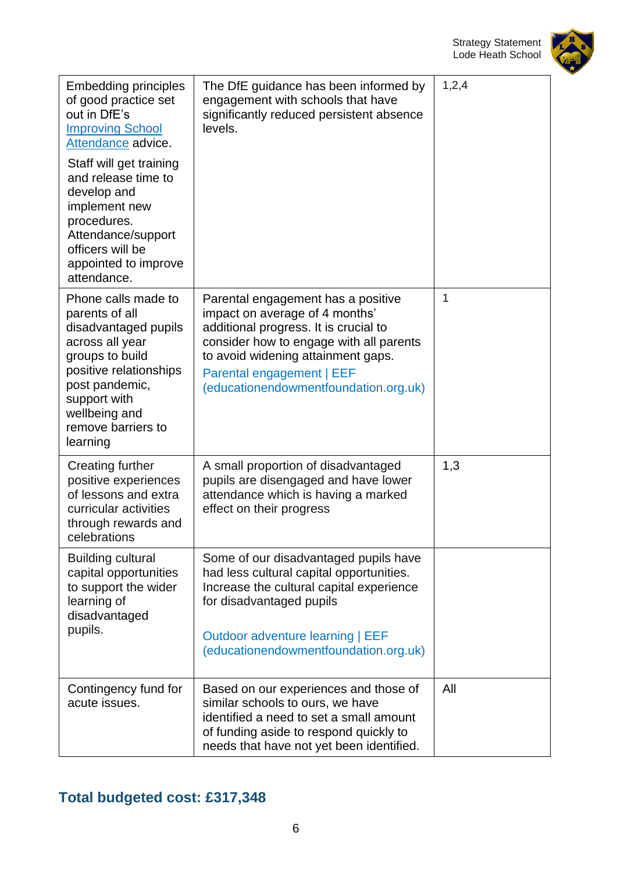#### Strategy Statement Lode Heath School



| <b>Embedding principles</b><br>of good practice set<br>out in DfE's<br><b>Improving School</b><br>Attendance advice.<br>Staff will get training<br>and release time to<br>develop and<br>implement new<br>procedures.<br>Attendance/support<br>officers will be<br>appointed to improve<br>attendance. | The DfE guidance has been informed by<br>engagement with schools that have<br>significantly reduced persistent absence<br>levels.                                                                                                                                    | 1,2,4        |
|--------------------------------------------------------------------------------------------------------------------------------------------------------------------------------------------------------------------------------------------------------------------------------------------------------|----------------------------------------------------------------------------------------------------------------------------------------------------------------------------------------------------------------------------------------------------------------------|--------------|
| Phone calls made to<br>parents of all<br>disadvantaged pupils<br>across all year<br>groups to build<br>positive relationships<br>post pandemic,<br>support with<br>wellbeing and<br>remove barriers to<br>learning                                                                                     | Parental engagement has a positive<br>impact on average of 4 months'<br>additional progress. It is crucial to<br>consider how to engage with all parents<br>to avoid widening attainment gaps.<br>Parental engagement   EEF<br>(educationendowmentfoundation.org.uk) | $\mathbf{1}$ |
| <b>Creating further</b><br>positive experiences<br>of lessons and extra<br>curricular activities<br>through rewards and<br>celebrations                                                                                                                                                                | A small proportion of disadvantaged<br>pupils are disengaged and have lower<br>attendance which is having a marked<br>effect on their progress                                                                                                                       | 1,3          |
| <b>Building cultural</b><br>capital opportunities<br>to support the wider<br>learning of<br>disadvantaged<br>pupils.                                                                                                                                                                                   | Some of our disadvantaged pupils have<br>had less cultural capital opportunities.<br>Increase the cultural capital experience<br>for disadvantaged pupils<br>Outdoor adventure learning   EEF<br>(educationendowmentfoundation.org.uk)                               |              |
| Contingency fund for<br>acute issues.                                                                                                                                                                                                                                                                  | Based on our experiences and those of<br>similar schools to ours, we have<br>identified a need to set a small amount<br>of funding aside to respond quickly to<br>needs that have not yet been identified.                                                           | All          |

### **Total budgeted cost: £317,348**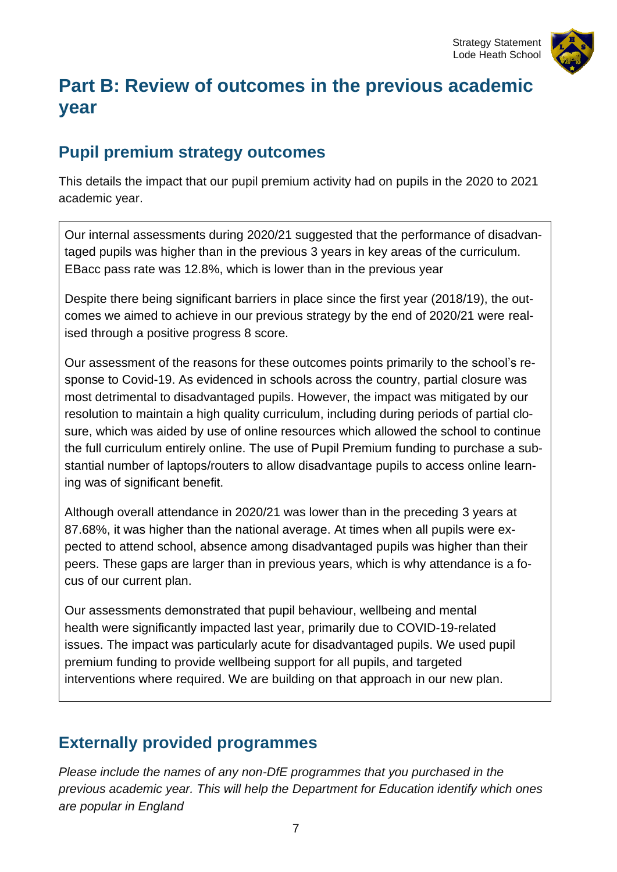



# **Part B: Review of outcomes in the previous academic year**

### **Pupil premium strategy outcomes**

This details the impact that our pupil premium activity had on pupils in the 2020 to 2021 academic year.

Our internal assessments during 2020/21 suggested that the performance of disadvantaged pupils was higher than in the previous 3 years in key areas of the curriculum. EBacc pass rate was 12.8%, which is lower than in the previous year

Despite there being significant barriers in place since the first year (2018/19), the outcomes we aimed to achieve in our previous strategy by the end of 2020/21 were realised through a positive progress 8 score.

Our assessment of the reasons for these outcomes points primarily to the school's response to Covid-19. As evidenced in schools across the country, partial closure was most detrimental to disadvantaged pupils. However, the impact was mitigated by our resolution to maintain a high quality curriculum, including during periods of partial closure, which was aided by use of online resources which allowed the school to continue the full curriculum entirely online. The use of Pupil Premium funding to purchase a substantial number of laptops/routers to allow disadvantage pupils to access online learning was of significant benefit.

Although overall attendance in 2020/21 was lower than in the preceding 3 years at 87.68%, it was higher than the national average. At times when all pupils were expected to attend school, absence among disadvantaged pupils was higher than their peers. These gaps are larger than in previous years, which is why attendance is a focus of our current plan.

Our assessments demonstrated that pupil behaviour, wellbeing and mental health were significantly impacted last year, primarily due to COVID-19-related issues. The impact was particularly acute for disadvantaged pupils. We used pupil premium funding to provide wellbeing support for all pupils, and targeted interventions where required. We are building on that approach in our new plan.

#### **Externally provided programmes**

*Please include the names of any non-DfE programmes that you purchased in the previous academic year. This will help the Department for Education identify which ones are popular in England*